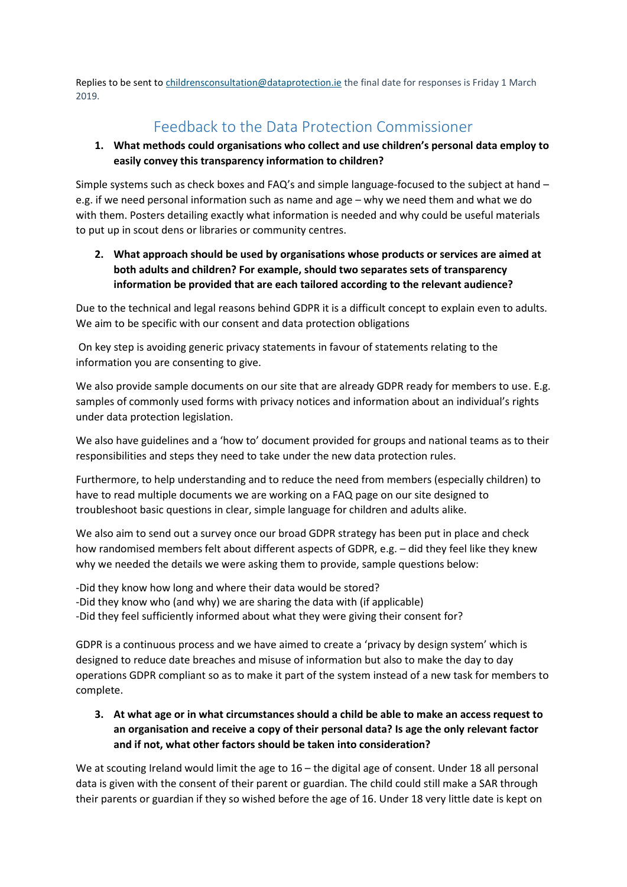Replies to be sent t[o childrensconsultation@dataprotection.ie](mailto:childrensconsultation@dataprotection.ie) the final date for responses is Friday 1 March 2019.

# Feedback to the Data Protection Commissioner

#### **1. What methods could organisations who collect and use children's personal data employ to easily convey this transparency information to children?**

Simple systems such as check boxes and FAQ's and simple language-focused to the subject at hand – e.g. if we need personal information such as name and age – why we need them and what we do with them. Posters detailing exactly what information is needed and why could be useful materials to put up in scout dens or libraries or community centres.

**2. What approach should be used by organisations whose products or services are aimed at both adults and children? For example, should two separates sets of transparency information be provided that are each tailored according to the relevant audience?**

Due to the technical and legal reasons behind GDPR it is a difficult concept to explain even to adults. We aim to be specific with our consent and data protection obligations

On key step is avoiding generic privacy statements in favour of statements relating to the information you are consenting to give.

We also provide sample documents on our site that are already GDPR ready for members to use. E.g. samples of commonly used forms with privacy notices and information about an individual's rights under data protection legislation.

We also have guidelines and a 'how to' document provided for groups and national teams as to their responsibilities and steps they need to take under the new data protection rules.

Furthermore, to help understanding and to reduce the need from members (especially children) to have to read multiple documents we are working on a FAQ page on our site designed to troubleshoot basic questions in clear, simple language for children and adults alike.

We also aim to send out a survey once our broad GDPR strategy has been put in place and check how randomised members felt about different aspects of GDPR, e.g. – did they feel like they knew why we needed the details we were asking them to provide, sample questions below:

-Did they know how long and where their data would be stored? -Did they know who (and why) we are sharing the data with (if applicable) -Did they feel sufficiently informed about what they were giving their consent for?

GDPR is a continuous process and we have aimed to create a 'privacy by design system' which is designed to reduce date breaches and misuse of information but also to make the day to day operations GDPR compliant so as to make it part of the system instead of a new task for members to complete.

**3. At what age or in what circumstances should a child be able to make an access request to an organisation and receive a copy of their personal data? Is age the only relevant factor and if not, what other factors should be taken into consideration?** 

We at scouting Ireland would limit the age to 16 – the digital age of consent. Under 18 all personal data is given with the consent of their parent or guardian. The child could still make a SAR through their parents or guardian if they so wished before the age of 16. Under 18 very little date is kept on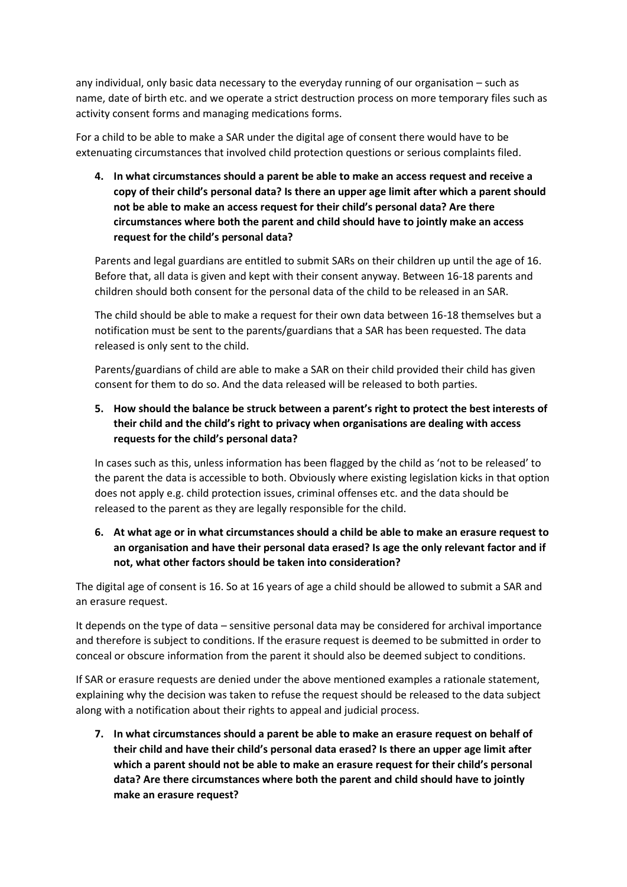any individual, only basic data necessary to the everyday running of our organisation – such as name, date of birth etc. and we operate a strict destruction process on more temporary files such as activity consent forms and managing medications forms.

For a child to be able to make a SAR under the digital age of consent there would have to be extenuating circumstances that involved child protection questions or serious complaints filed.

**4. In what circumstances should a parent be able to make an access request and receive a copy of their child's personal data? Is there an upper age limit after which a parent should not be able to make an access request for their child's personal data? Are there circumstances where both the parent and child should have to jointly make an access request for the child's personal data?** 

Parents and legal guardians are entitled to submit SARs on their children up until the age of 16. Before that, all data is given and kept with their consent anyway. Between 16-18 parents and children should both consent for the personal data of the child to be released in an SAR.

The child should be able to make a request for their own data between 16-18 themselves but a notification must be sent to the parents/guardians that a SAR has been requested. The data released is only sent to the child.

Parents/guardians of child are able to make a SAR on their child provided their child has given consent for them to do so. And the data released will be released to both parties.

## **5. How should the balance be struck between a parent's right to protect the best interests of their child and the child's right to privacy when organisations are dealing with access requests for the child's personal data?**

In cases such as this, unless information has been flagged by the child as 'not to be released' to the parent the data is accessible to both. Obviously where existing legislation kicks in that option does not apply e.g. child protection issues, criminal offenses etc. and the data should be released to the parent as they are legally responsible for the child.

#### **6. At what age or in what circumstances should a child be able to make an erasure request to an organisation and have their personal data erased? Is age the only relevant factor and if not, what other factors should be taken into consideration?**

The digital age of consent is 16. So at 16 years of age a child should be allowed to submit a SAR and an erasure request.

It depends on the type of data – sensitive personal data may be considered for archival importance and therefore is subject to conditions. If the erasure request is deemed to be submitted in order to conceal or obscure information from the parent it should also be deemed subject to conditions.

If SAR or erasure requests are denied under the above mentioned examples a rationale statement, explaining why the decision was taken to refuse the request should be released to the data subject along with a notification about their rights to appeal and judicial process.

**7. In what circumstances should a parent be able to make an erasure request on behalf of their child and have their child's personal data erased? Is there an upper age limit after which a parent should not be able to make an erasure request for their child's personal data? Are there circumstances where both the parent and child should have to jointly make an erasure request?**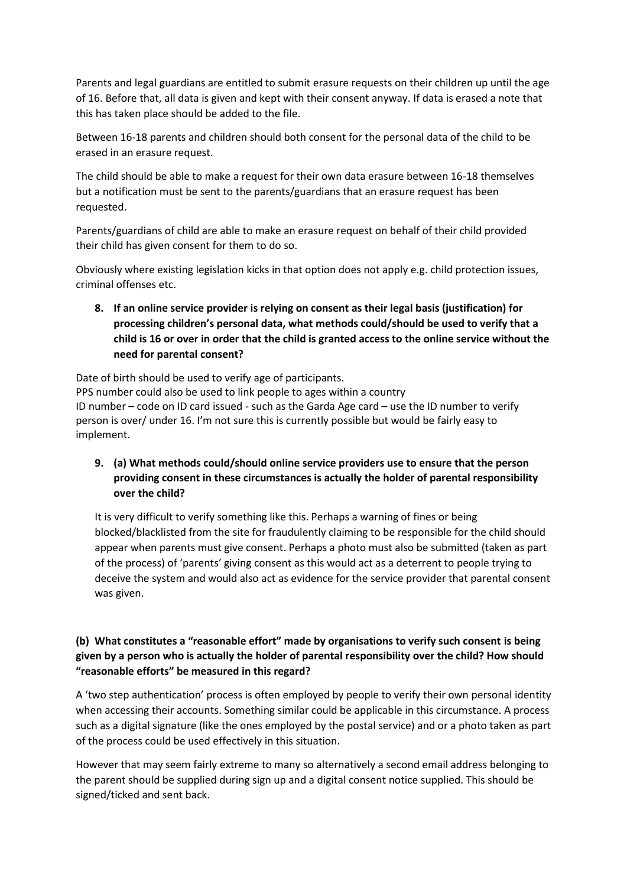Parents and legal guardians are entitled to submit erasure requests on their children up until the age of 16. Before that, all data is given and kept with their consent anyway. If data is erased a note that this has taken place should be added to the file.

Between 16-18 parents and children should both consent for the personal data of the child to be erased in an erasure request.

The child should be able to make a request for their own data erasure between 16-18 themselves but a notification must be sent to the parents/guardians that an erasure request has been requested.

Parents/guardians of child are able to make an erasure request on behalf of their child provided their child has given consent for them to do so.

Obviously where existing legislation kicks in that option does not apply e.g. child protection issues, criminal offenses etc.

**8. If an online service provider is relying on consent as their legal basis (justification) for processing children's personal data, what methods could/should be used to verify that a child is 16 or over in order that the child is granted access to the online service without the need for parental consent?** 

Date of birth should be used to verify age of participants.

PPS number could also be used to link people to ages within a country ID number – code on ID card issued - such as the Garda Age card – use the ID number to verify person is over/ under 16. I'm not sure this is currently possible but would be fairly easy to implement.

## **9. (a) What methods could/should online service providers use to ensure that the person providing consent in these circumstances is actually the holder of parental responsibility over the child?**

It is very difficult to verify something like this. Perhaps a warning of fines or being blocked/blacklisted from the site for fraudulently claiming to be responsible for the child should appear when parents must give consent. Perhaps a photo must also be submitted (taken as part of the process) of 'parents' giving consent as this would act as a deterrent to people trying to deceive the system and would also act as evidence for the service provider that parental consent was given.

# **(b) What constitutes a "reasonable effort" made by organisations to verify such consent is being given by a person who is actually the holder of parental responsibility over the child? How should "reasonable efforts" be measured in this regard?**

A 'two step authentication' process is often employed by people to verify their own personal identity when accessing their accounts. Something similar could be applicable in this circumstance. A process such as a digital signature (like the ones employed by the postal service) and or a photo taken as part of the process could be used effectively in this situation.

However that may seem fairly extreme to many so alternatively a second email address belonging to the parent should be supplied during sign up and a digital consent notice supplied. This should be signed/ticked and sent back.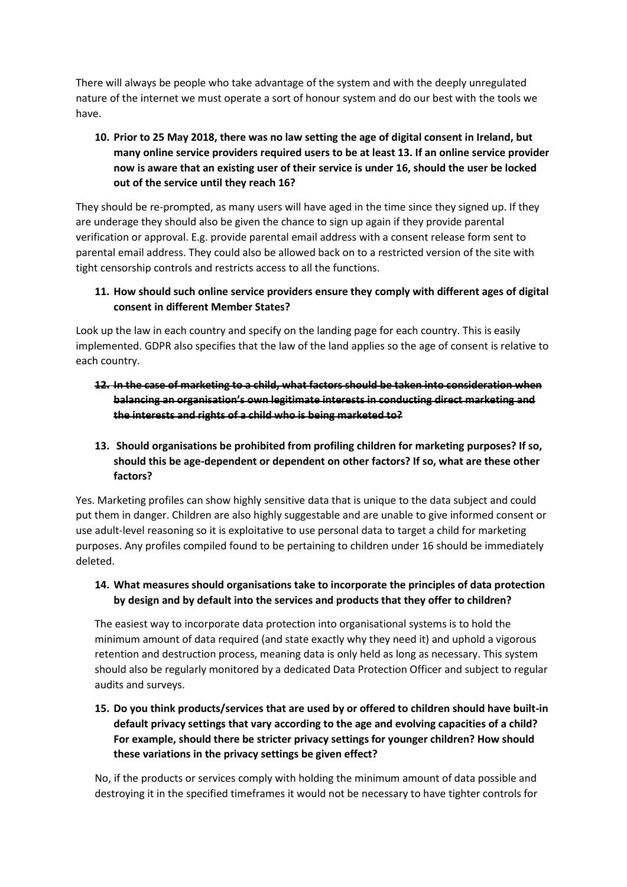There will always be people who take advantage of the system and with the deeply unregulated nature of the internet we must operate a sort of honour system and do our best with the tools we have.

# **10. Prior to 25 May 2018, there was no law setting the age of digital consent in Ireland, but many online service providers required users to be at least 13. If an online service provider now is aware that an existing user of their service is under 16, should the user be locked out of the service until they reach 16?**

They should be re-prompted, as many users will have aged in the time since they signed up. If they are underage they should also be given the chance to sign up again if they provide parental verification or approval. E.g. provide parental email address with a consent release form sent to parental email address. They could also be allowed back on to a restricted version of the site with tight censorship controls and restricts access to all the functions.

## **11. How should such online service providers ensure they comply with different ages of digital consent in different Member States?**

Look up the law in each country and specify on the landing page for each country. This is easily implemented. GDPR also specifies that the law of the land applies so the age of consent is relative to each country.

# **12. In the case of marketing to a child, what factors should be taken into consideration when balancing an organisation's own legitimate interests in conducting direct marketing and the interests and rights of a child who is being marketed to?**

# **13. Should organisations be prohibited from profiling children for marketing purposes? If so, should this be age-dependent or dependent on other factors? If so, what are these other factors?**

Yes. Marketing profiles can show highly sensitive data that is unique to the data subject and could put them in danger. Children are also highly suggestable and are unable to give informed consent or use adult-level reasoning so it is exploitative to use personal data to target a child for marketing purposes. Any profiles compiled found to be pertaining to children under 16 should be immediately deleted.

#### **14. What measures should organisations take to incorporate the principles of data protection by design and by default into the services and products that they offer to children?**

The easiest way to incorporate data protection into organisational systems is to hold the minimum amount of data required (and state exactly why they need it) and uphold a vigorous retention and destruction process, meaning data is only held as long as necessary. This system should also be regularly monitored by a dedicated Data Protection Officer and subject to regular audits and surveys.

# **15. Do you think products/services that are used by or offered to children should have built-in default privacy settings that vary according to the age and evolving capacities of a child? For example, should there be stricter privacy settings for younger children? How should these variations in the privacy settings be given effect?**

No, if the products or services comply with holding the minimum amount of data possible and destroying it in the specified timeframes it would not be necessary to have tighter controls for